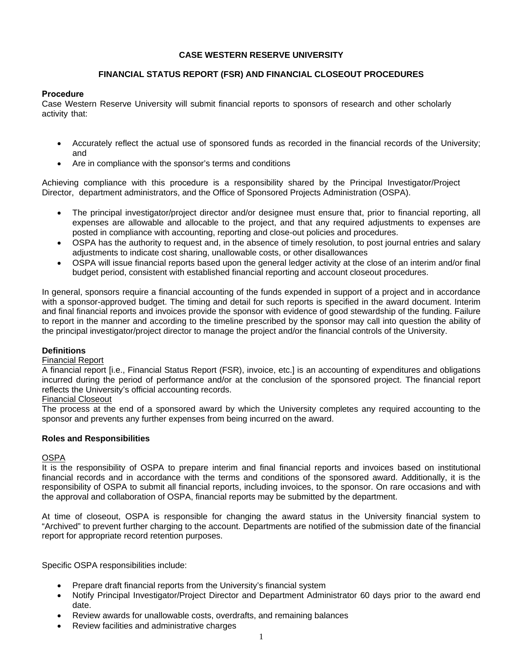### **CASE WESTERN RESERVE UNIVERSITY**

# **FINANCIAL STATUS REPORT (FSR) AND FINANCIAL CLOSEOUT PROCEDURES**

### **Procedure**

Case Western Reserve University will submit financial reports to sponsors of research and other scholarly activity that:

- Accurately reflect the actual use of sponsored funds as recorded in the financial records of the University; and
- Are in compliance with the sponsor's terms and conditions

Achieving compliance with this procedure is a responsibility shared by the Principal Investigator/Project Director, department administrators, and the Office of Sponsored Projects Administration (OSPA).

- The principal investigator/project director and/or designee must ensure that, prior to financial reporting, all expenses are allowable and allocable to the project, and that any required adjustments to expenses are posted in compliance with accounting, reporting and close-out policies and procedures.
- OSPA has the authority to request and, in the absence of timely resolution, to post journal entries and salary adjustments to indicate cost sharing, unallowable costs, or other disallowances
- OSPA will issue financial reports based upon the general ledger activity at the close of an interim and/or final budget period, consistent with established financial reporting and account closeout procedures.

In general, sponsors require a financial accounting of the funds expended in support of a project and in accordance with a sponsor-approved budget. The timing and detail for such reports is specified in the award document. Interim and final financial reports and invoices provide the sponsor with evidence of good stewardship of the funding. Failure to report in the manner and according to the timeline prescribed by the sponsor may call into question the ability of the principal investigator/project director to manage the project and/or the financial controls of the University.

# **Definitions**

### Financial Report

A financial report [i.e., Financial Status Report (FSR), invoice, etc.] is an accounting of expenditures and obligations incurred during the period of performance and/or at the conclusion of the sponsored project. The financial report reflects the University's official accounting records.

### Financial Closeout

The process at the end of a sponsored award by which the University completes any required accounting to the sponsor and prevents any further expenses from being incurred on the award.

### **Roles and Responsibilities**

### OSPA

It is the responsibility of OSPA to prepare interim and final financial reports and invoices based on institutional financial records and in accordance with the terms and conditions of the sponsored award. Additionally, it is the responsibility of OSPA to submit all financial reports, including invoices, to the sponsor. On rare occasions and with the approval and collaboration of OSPA, financial reports may be submitted by the department.

At time of closeout, OSPA is responsible for changing the award status in the University financial system to "Archived" to prevent further charging to the account. Departments are notified of the submission date of the financial report for appropriate record retention purposes.

Specific OSPA responsibilities include:

- Prepare draft financial reports from the University's financial system
- Notify Principal Investigator/Project Director and Department Administrator 60 days prior to the award end date.
- Review awards for unallowable costs, overdrafts, and remaining balances
- Review facilities and administrative charges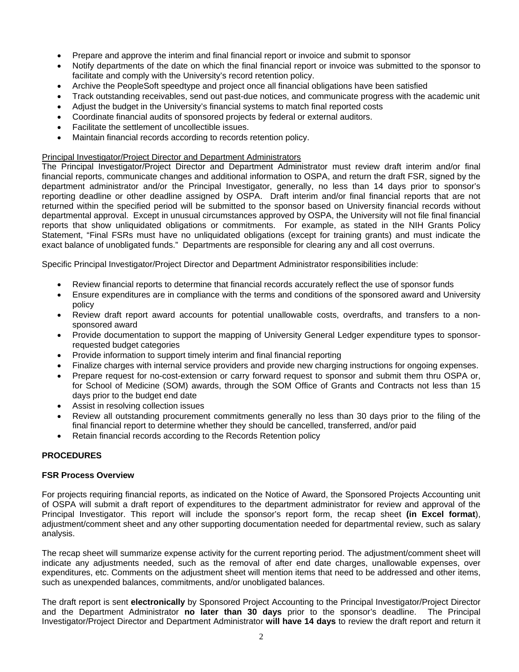- Prepare and approve the interim and final financial report or invoice and submit to sponsor
- Notify departments of the date on which the final financial report or invoice was submitted to the sponsor to facilitate and comply with the University's record retention policy.
- Archive the PeopleSoft speedtype and project once all financial obligations have been satisfied
- Track outstanding receivables, send out past-due notices, and communicate progress with the academic unit
- Adjust the budget in the University's financial systems to match final reported costs
- Coordinate financial audits of sponsored projects by federal or external auditors.
- Facilitate the settlement of uncollectible issues.
- Maintain financial records according to records retention policy.

#### Principal Investigator/Project Director and Department Administrators

The Principal Investigator/Project Director and Department Administrator must review draft interim and/or final financial reports, communicate changes and additional information to OSPA, and return the draft FSR, signed by the department administrator and/or the Principal Investigator, generally, no less than 14 days prior to sponsor's reporting deadline or other deadline assigned by OSPA. Draft interim and/or final financial reports that are not returned within the specified period will be submitted to the sponsor based on University financial records without departmental approval. Except in unusual circumstances approved by OSPA, the University will not file final financial reports that show unliquidated obligations or commitments. For example, as stated in the NIH Grants Policy Statement, "Final FSRs must have no unliquidated obligations (except for training grants) and must indicate the exact balance of unobligated funds." Departments are responsible for clearing any and all cost overruns.

Specific Principal Investigator/Project Director and Department Administrator responsibilities include:

- Review financial reports to determine that financial records accurately reflect the use of sponsor funds
- Ensure expenditures are in compliance with the terms and conditions of the sponsored award and University policy
- Review draft report award accounts for potential unallowable costs, overdrafts, and transfers to a nonsponsored award
- Provide documentation to support the mapping of University General Ledger expenditure types to sponsorrequested budget categories
- Provide information to support timely interim and final financial reporting
- Finalize charges with internal service providers and provide new charging instructions for ongoing expenses.
- Prepare request for no-cost-extension or carry forward request to sponsor and submit them thru OSPA or, for School of Medicine (SOM) awards, through the SOM Office of Grants and Contracts not less than 15 days prior to the budget end date
- Assist in resolving collection issues
- Review all outstanding procurement commitments generally no less than 30 days prior to the filing of the final financial report to determine whether they should be cancelled, transferred, and/or paid
- Retain financial records according to the Records Retention policy

# **PROCEDURES**

### **FSR Process Overview**

For projects requiring financial reports, as indicated on the Notice of Award, the Sponsored Projects Accounting unit of OSPA will submit a draft report of expenditures to the department administrator for review and approval of the Principal Investigator. This report will include the sponsor's report form, the recap sheet **(in Excel format**), adjustment/comment sheet and any other supporting documentation needed for departmental review, such as salary analysis.

The recap sheet will summarize expense activity for the current reporting period. The adjustment/comment sheet will indicate any adjustments needed, such as the removal of after end date charges, unallowable expenses, over expenditures, etc. Comments on the adjustment sheet will mention items that need to be addressed and other items, such as unexpended balances, commitments, and/or unobligated balances.

The draft report is sent **electronically** by Sponsored Project Accounting to the Principal Investigator/Project Director and the Department Administrator **no later than 30 days** prior to the sponsor's deadline. The Principal Investigator/Project Director and Department Administrator **will have 14 days** to review the draft report and return it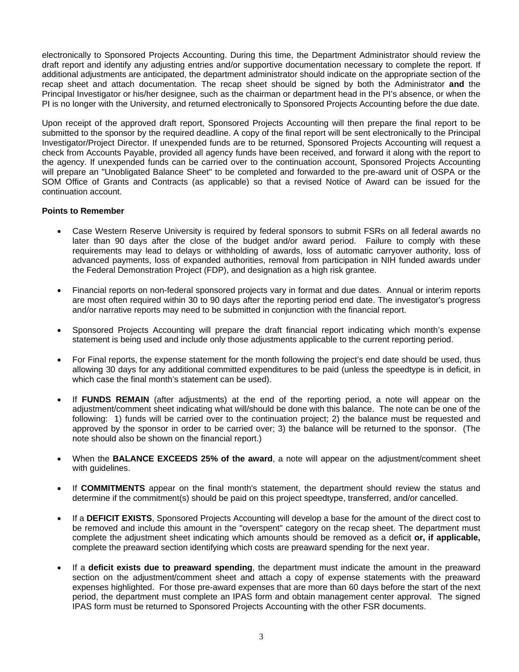electronically to Sponsored Projects Accounting. During this time, the Department Administrator should review the draft report and identify any adjusting entries and/or supportive documentation necessary to complete the report. If additional adjustments are anticipated, the department administrator should indicate on the appropriate section of the recap sheet and attach documentation. The recap sheet should be signed by both the Administrator **and** the Principal Investigator or his/her designee, such as the chairman or department head in the PI's absence, or when the PI is no longer with the University, and returned electronically to Sponsored Projects Accounting before the due date.

Upon receipt of the approved draft report, Sponsored Projects Accounting will then prepare the final report to be submitted to the sponsor by the required deadline. A copy of the final report will be sent electronically to the Principal Investigator/Project Director. If unexpended funds are to be returned, Sponsored Projects Accounting will request a check from Accounts Payable, provided all agency funds have been received, and forward it along with the report to the agency. If unexpended funds can be carried over to the continuation account, Sponsored Projects Accounting will prepare an "Unobligated Balance Sheet" to be completed and forwarded to the pre-award unit of OSPA or the SOM Office of Grants and Contracts (as applicable) so that a revised Notice of Award can be issued for the continuation account.

### **Points to Remember**

- Case Western Reserve University is required by federal sponsors to submit FSRs on all federal awards no later than 90 days after the close of the budget and/or award period. Failure to comply with these requirements may lead to delays or withholding of awards, loss of automatic carryover authority, loss of advanced payments, loss of expanded authorities, removal from participation in NIH funded awards under the Federal Demonstration Project (FDP), and designation as a high risk grantee.
- Financial reports on non-federal sponsored projects vary in format and due dates. Annual or interim reports are most often required within 30 to 90 days after the reporting period end date. The investigator's progress and/or narrative reports may need to be submitted in conjunction with the financial report.
- Sponsored Projects Accounting will prepare the draft financial report indicating which month's expense statement is being used and include only those adjustments applicable to the current reporting period.
- For Final reports, the expense statement for the month following the project's end date should be used, thus allowing 30 days for any additional committed expenditures to be paid (unless the speedtype is in deficit, in which case the final month's statement can be used).
- If **FUNDS REMAIN** (after adjustments) at the end of the reporting period, a note will appear on the adjustment/comment sheet indicating what will/should be done with this balance. The note can be one of the following: 1) funds will be carried over to the continuation project; 2) the balance must be requested and approved by the sponsor in order to be carried over; 3) the balance will be returned to the sponsor. (The note should also be shown on the financial report.)
- When the **BALANCE EXCEEDS 25% of the award**, a note will appear on the adjustment/comment sheet with guidelines.
- If **COMMITMENTS** appear on the final month's statement, the department should review the status and determine if the commitment(s) should be paid on this project speedtype, transferred, and/or cancelled.
- If a **DEFICIT EXISTS**, Sponsored Projects Accounting will develop a base for the amount of the direct cost to be removed and include this amount in the "overspent" category on the recap sheet. The department must complete the adjustment sheet indicating which amounts should be removed as a deficit **or, if applicable,** complete the preaward section identifying which costs are preaward spending for the next year.
- If a **deficit exists due to preaward spending**, the department must indicate the amount in the preaward section on the adjustment/comment sheet and attach a copy of expense statements with the preaward expenses highlighted. For those pre-award expenses that are more than 60 days before the start of the next period, the department must complete an IPAS form and obtain management center approval. The signed IPAS form must be returned to Sponsored Projects Accounting with the other FSR documents.